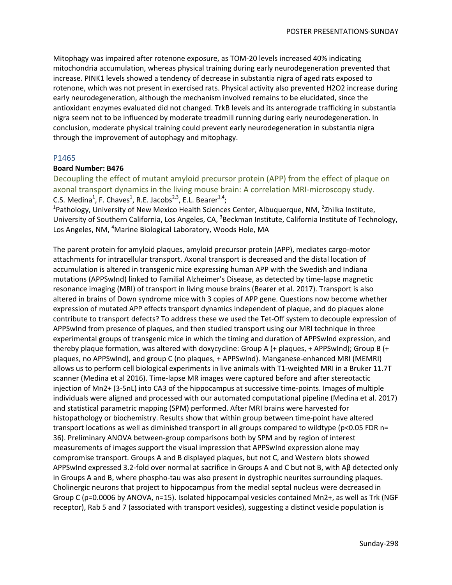Mitophagy was impaired after rotenone exposure, as TOM‐20 levels increased 40% indicating mitochondria accumulation, whereas physical training during early neurodegeneration prevented that increase. PINK1 levels showed a tendency of decrease in substantia nigra of aged rats exposed to rotenone, which was not present in exercised rats. Physical activity also prevented H2O2 increase during early neurodegeneration, although the mechanism involved remains to be elucidated, since the antioxidant enzymes evaluated did not changed. TrkB levels and its anterograde trafficking in substantia nigra seem not to be influenced by moderate treadmill running during early neurodegeneration. In conclusion, moderate physical training could prevent early neurodegeneration in substantia nigra through the improvement of autophagy and mitophagy.

#### P1465

#### **Board Number: B476**

Decoupling the effect of mutant amyloid precursor protein (APP) from the effect of plaque on axonal transport dynamics in the living mouse brain: A correlation MRI-microscopy study. C.S. Medina<sup>1</sup>, F. Chaves<sup>1</sup>, R.E. Jacobs<sup>2,3</sup>, E.L. Bearer<sup>1,4</sup>;

<sup>1</sup>Pathology, University of New Mexico Health Sciences Center, Albuquerque, NM, <sup>2</sup>Zhilka Institute, University of Southern California, Los Angeles, CA, <sup>3</sup>Beckman Institute, California Institute of Technology, Los Angeles, NM, <sup>4</sup>Marine Biological Laboratory, Woods Hole, MA

The parent protein for amyloid plaques, amyloid precursor protein (APP), mediates cargo-motor attachments for intracellular transport. Axonal transport is decreased and the distal location of accumulation is altered in transgenic mice expressing human APP with the Swedish and Indiana mutations (APPSwInd) linked to Familial Alzheimer's Disease, as detected by time‐lapse magnetic resonance imaging (MRI) of transport in living mouse brains (Bearer et al. 2017). Transport is also altered in brains of Down syndrome mice with 3 copies of APP gene. Questions now become whether expression of mutated APP effects transport dynamics independent of plaque, and do plaques alone contribute to transport defects? To address these we used the Tet‐Off system to decouple expression of APPSwInd from presence of plaques, and then studied transport using our MRI technique in three experimental groups of transgenic mice in which the timing and duration of APPSwInd expression, and thereby plaque formation, was altered with doxycycline: Group A (+ plaques, + APPSwInd); Group B (+ plaques, no APPSwInd), and group C (no plaques, + APPSwInd). Manganese‐enhanced MRI (MEMRI) allows us to perform cell biological experiments in live animals with T1‐weighted MRI in a Bruker 11.7T scanner (Medina et al 2016). Time‐lapse MR images were captured before and after stereotactic injection of Mn2+ (3‐5nL) into CA3 of the hippocampus at successive time‐points. Images of multiple individuals were aligned and processed with our automated computational pipeline (Medina et al. 2017) and statistical parametric mapping (SPM) performed. After MRI brains were harvested for histopathology or biochemistry. Results show that within group between time‐point have altered transport locations as well as diminished transport in all groups compared to wildtype (p<0.05 FDR n= 36). Preliminary ANOVA between‐group comparisons both by SPM and by region of interest measurements of images support the visual impression that APPSwInd expression alone may compromise transport. Groups A and B displayed plaques, but not C, and Western blots showed APPSwInd expressed 3.2‐fold over normal at sacrifice in Groups A and C but not B, with Aβ detected only in Groups A and B, where phospho‐tau was also present in dystrophic neurites surrounding plaques. Cholinergic neurons that project to hippocampus from the medial septal nucleus were decreased in Group C (p=0.0006 by ANOVA, n=15). Isolated hippocampal vesicles contained Mn2+, as well as Trk (NGF receptor), Rab 5 and 7 (associated with transport vesicles), suggesting a distinct vesicle population is